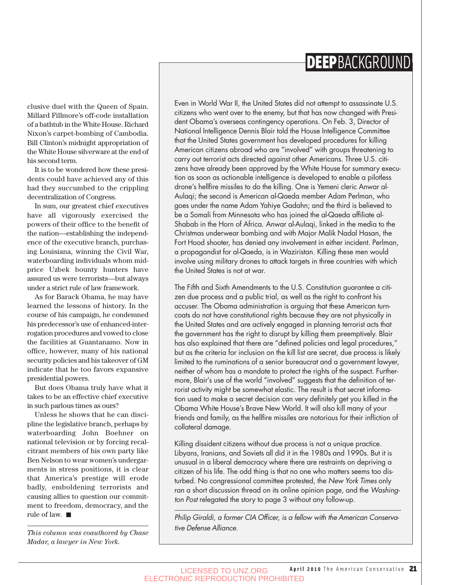## **DEEP**BACKGROUND

clusive duel with the Queen of Spain. Millard Fillmore's off-code installation of a bathtub in the White House. Richard Nixon's carpet-bombing of Cambodia. Bill Clinton's midnight appropriation of the White House silverware at the end of his second term.

It is to be wondered how these presidents could have achieved any of this had they succumbed to the crippling decentralization of Congress.

In sum, our greatest chief executives have all vigorously exercised the powers of their office to the benefit of the nation—establishing the independence of the executive branch, purchasing Louisiana, winning the Civil War, waterboarding individuals whom midprice Uzbek bounty hunters have assured us were terrorists—but always under a strict rule of law framework.

As for Barack Obama, he may have learned the lessons of history. In the course of his campaign, he condemned his predecessor's use of enhanced-interrogation procedures and vowed to close the facilities at Guantanamo. Now in office, however, many of his national security policies and his takeover of GM indicate that he too favors expansive presidential powers.

But does Obama truly have what it takes to be an effective chief executive in such parlous times as ours?

Unless he shows that he can discipline the legislative branch, perhaps by waterboarding John Boehner on national television or by forcing recalcitrant members of his own party like Ben Nelson to wear women's undergarments in stress positions, it is clear that America's prestige will erode badly, emboldening terrorists and causing allies to question our commitment to freedom, democracy, and the rule of law.

*This column was coauthored by Chase Madar, a lawyer in New York.* 

Even in World War II, the United States did not attempt to assassinate U.S. citizens who went over to the enemy, but that has now changed with President Obama's overseas contingency operations. On Feb. 3, Director of National Intelligence Dennis Blair told the House Intelligence Committee that the United States government has developed procedures for killing American citizens abroad who are "involved" with groups threatening to carry out terrorist acts directed against other Americans. Three U.S. citizens have already been approved by the White House for summary execution as soon as actionable intelligence is developed to enable a pilotless drone's hellfire missiles to do the killing. One is Yemeni cleric Anwar al-Aulaqi; the second is American al-Qaeda member Adam Perlman, who goes under the name Adam Yahiye Gadahn; and the third is believed to be a Somali from Minnesota who has joined the al-Qaeda affiliate al-Shabab in the Horn of Africa. Anwar al-Aulaqi, linked in the media to the Christmas underwear bombing and with Major Malik Nadal Hasan, the Fort Hood shooter, has denied any involvement in either incident. Perlman, a propagandist for al-Qaeda, is in Waziristan. Killing these men would involve using military drones to attack targets in three countries with which the United States is not at war.

The Fifth and Sixth Amendments to the U.S. Constitution guarantee a citizen due process and a public trial, as well as the right to confront his accuser. The Obama administration is arguing that these American turncoats do not have constitutional rights because they are not physically in the United States and are actively engaged in planning terrorist acts that the government has the right to disrupt by killing them preemptively. Blair has also explained that there are "defined policies and legal procedures,' but as the criteria for inclusion on the kill list are secret, due process is likely limited to the ruminations of a senior bureaucrat and a government lawyer, neither of whom has a mandate to protect the rights of the suspect. Furthermore, Blair's use of the world "involved" suggests that the definition of terrorist activity might be somewhat elastic. The result is that secret information used to make a secret decision can very definitely get you killed in the Obama White House's Brave New World. It will also kill many of your friends and family, as the hellfire missiles are notorious for their infliction of collateral damage.

Killing dissident citizens without due process is not a unique practice. Libyans, Iranians, and Soviets all did it in the 1980s and 1990s. But it is unusual in a liberal democracy where there are restraints on depriving a citizen of his life. The odd thing is that no one who matters seems too disturbed. No congressional committee protested, the New York Times only ran a short discussion thread on its online opinion page, and the Washington Post relegated the story to page 3 without any follow-up.

Philip Giraldi, a former CIA Officer, is a fellow with the American Conservative Defense Alliance.